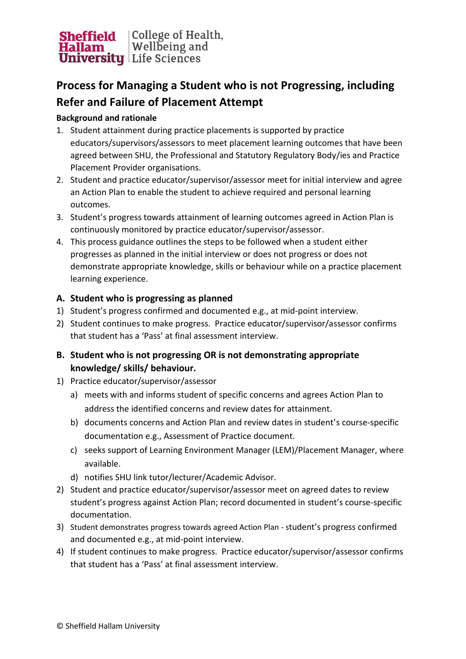

## **Process for Managing a Student who is not Progressing, including Refer and Failure of Placement Attempt**

## **Background and rationale**

- 1. Student attainment during practice placements is supported by practice educators/supervisors/assessors to meet placement learning outcomes that have been agreed between SHU, the Professional and Statutory Regulatory Body/ies and Practice Placement Provider organisations.
- 2. Student and practice educator/supervisor/assessor meet for initial interview and agree an Action Plan to enable the student to achieve required and personal learning outcomes.
- 3. Student's progress towards attainment of learning outcomes agreed in Action Plan is continuously monitored by practice educator/supervisor/assessor.
- 4. This process guidance outlines the steps to be followed when a student either progresses as planned in the initial interview or does not progress or does not demonstrate appropriate knowledge, skills or behaviour while on a practice placement learning experience.

## **A. Student who is progressing as planned**

- 1) Student's progress confirmed and documented e.g., at mid-point interview.
- 2) Student continues to make progress. Practice educator/supervisor/assessor confirms that student has a 'Pass' at final assessment interview.
- **B. Student who is not progressing OR is not demonstrating appropriate knowledge/ skills/ behaviour.**
- 1) Practice educator/supervisor/assessor
	- a) meets with and informs student of specific concerns and agrees Action Plan to address the identified concerns and review dates for attainment.
	- b) documents concerns and Action Plan and review dates in student's course-specific documentation e.g., Assessment of Practice document.
	- c) seeks support of Learning Environment Manager (LEM)/Placement Manager, where available.
	- d) notifies SHU link tutor/lecturer/Academic Advisor.
- 2) Student and practice educator/supervisor/assessor meet on agreed dates to review student's progress against Action Plan; record documented in student's course-specific documentation.
- 3) Student demonstrates progress towards agreed Action Plan student's progress confirmed and documented e.g., at mid-point interview.
- 4) If student continues to make progress. Practice educator/supervisor/assessor confirms that student has a 'Pass' at final assessment interview.